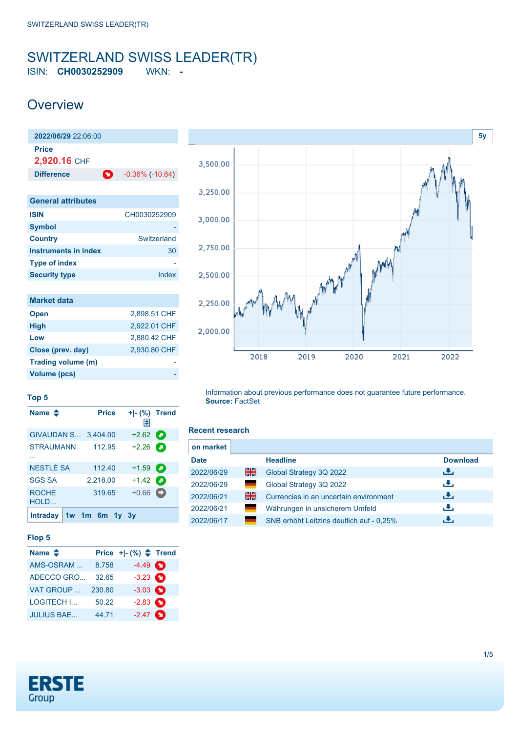# <span id="page-0-0"></span>SWITZERLAND SWISS LEADER(TR) ISIN: **CH0030252909** WKN: **-**

# **Overview**

| $2022/06/29$ 22:06:00     |   |                        |
|---------------------------|---|------------------------|
| Price<br>2,920.16 CHF     |   |                        |
| <b>Difference</b>         | Ø | $-0.36\%$ ( $-10.64$ ) |
|                           |   |                        |
| <b>General attributes</b> |   |                        |

| <b>ISIN</b>          | CH0030252909 |
|----------------------|--------------|
| <b>Symbol</b>        |              |
| <b>Country</b>       | Switzerland  |
| Instruments in index | 30           |
| <b>Type of index</b> |              |
| <b>Security type</b> | Index        |

| <b>Market data</b> |              |
|--------------------|--------------|
| <b>Open</b>        | 2,898.51 CHF |
| <b>High</b>        | 2,922.01 CHF |
| Low                | 2.880.42 CHF |
| Close (prev. day)  | 2.930.80 CHF |
| Trading volume (m) |              |
| Volume (pcs)       |              |



### **Top 5**

| Name $\clubsuit$     |                 | <b>Price</b> | + - (%) Trend<br>H |   |
|----------------------|-----------------|--------------|--------------------|---|
| GIVAUDAN S           |                 | 3,404.00     | $+2.62$            |   |
| STRAUMANN            |                 | 112.95       | $+2.26$            | о |
| NESTLÉ SA            |                 | 112.40       | $+1.59$ $\Box$     |   |
| <b>SGS SA</b>        |                 | 2,218.00     | $+1.42$ $\bullet$  |   |
| <b>ROCHE</b><br>HOLD |                 | 319.65       | $+0.66$            | o |
| <b>Intraday</b>      | $1w$ 1m 6m $1v$ |              |                    |   |

## **Flop 5**

| Name $\triangleq$ |        | Price $+[-(%) \triangleq$ Trend |  |
|-------------------|--------|---------------------------------|--|
| AMS-OSRAM         | 8.758  | $-4.49$ $\bullet$               |  |
| ADECCO GRO        | 32.65  | $-3.23$ $\bullet$               |  |
| VAT GROUP         | 230.80 | $-3.03$ $\bullet$               |  |
| <b>LOGITECH I</b> | 50.22  | $-2.83$ $\bullet$               |  |
| <b>JULIUS BAE</b> | 44.71  | $-2.47$ $\bullet$               |  |

Information about previous performance does not guarantee future performance. **Source:** FactSet

### **Recent research**

| on market   |   |                                          |                 |
|-------------|---|------------------------------------------|-----------------|
| <b>Date</b> |   | <b>Headline</b>                          | <b>Download</b> |
| 2022/06/29  | 을 | Global Strategy 3Q 2022                  | ريان            |
| 2022/06/29  | - | Global Strategy 3Q 2022                  | رنان            |
| 2022/06/21  | 꾉 | Currencies in an uncertain environment   | ريل             |
| 2022/06/21  |   | Währungen in unsicherem Umfeld           | رالى            |
| 2022/06/17  |   | SNB erhöht Leitzins deutlich auf - 0.25% | υ.              |

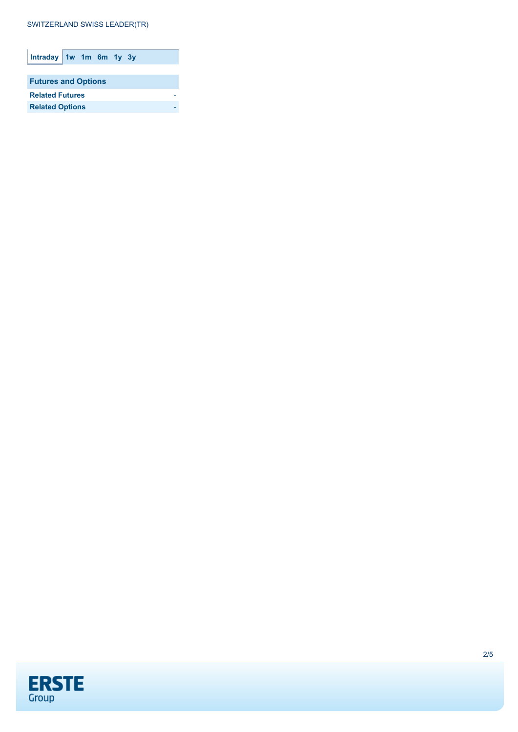# SWITZERLAND SWISS LEADER(TR)

| Intraday 1w 1m 6m 1y 3y    |  |  |  |  |  |
|----------------------------|--|--|--|--|--|
|                            |  |  |  |  |  |
| <b>Futures and Options</b> |  |  |  |  |  |
| <b>Related Futures</b>     |  |  |  |  |  |
| <b>Related Options</b>     |  |  |  |  |  |

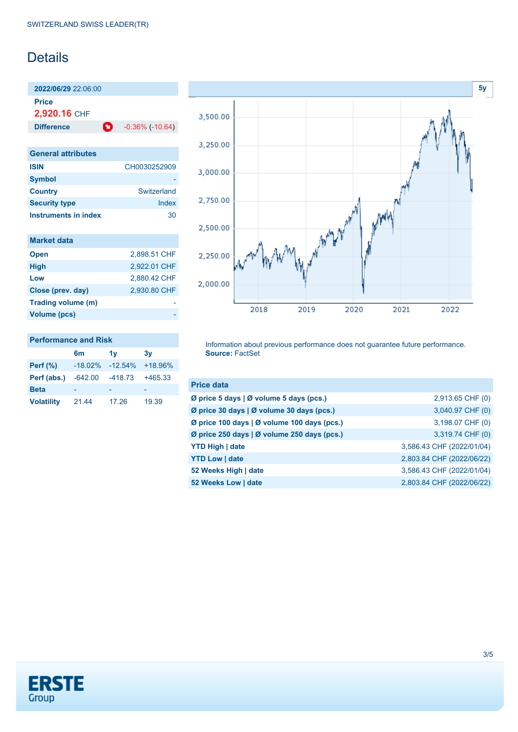# Details

**2022/06/29** 22:06:00

**Price**

**2,920.16** CHF

**Difference 0** -0.36% (-10.64)

| <b>General attributes</b> |              |
|---------------------------|--------------|
| <b>ISIN</b>               | CH0030252909 |
| <b>Symbol</b>             |              |
| <b>Country</b>            | Switzerland  |
| <b>Security type</b>      | Index        |
| Instruments in index      | 30           |

| <b>Market data</b> |              |
|--------------------|--------------|
| <b>Open</b>        | 2,898.51 CHF |
| <b>High</b>        | 2.922.01 CHF |
| Low                | 2,880.42 CHF |
| Close (prev. day)  | 2,930.80 CHF |
| Trading volume (m) |              |
| Volume (pcs)       |              |



### **Performance and Risk**

|                   | 6 <sub>m</sub> | 1v        | 3v        |
|-------------------|----------------|-----------|-----------|
| <b>Perf</b> (%)   | $-18.02%$      | $-12.54%$ | $+18.96%$ |
| Perf (abs.)       | $-642.00$      | $-418.73$ | $+465.33$ |
| <b>Beta</b>       |                |           |           |
| <b>Volatility</b> | 21.44          | 17.26     | 19.39     |

Information about previous performance does not guarantee future performance. **Source:** FactSet

| <b>Price data</b>                           |                           |
|---------------------------------------------|---------------------------|
| Ø price 5 days   Ø volume 5 days (pcs.)     | 2,913.65 CHF (0)          |
| Ø price 30 days   Ø volume 30 days (pcs.)   | 3,040.97 CHF (0)          |
| Ø price 100 days   Ø volume 100 days (pcs.) | 3,198.07 CHF (0)          |
| Ø price 250 days   Ø volume 250 days (pcs.) | 3,319.74 CHF (0)          |
| <b>YTD High   date</b>                      | 3,586.43 CHF (2022/01/04) |
| <b>YTD Low   date</b>                       | 2,803.84 CHF (2022/06/22) |
| 52 Weeks High   date                        | 3,586.43 CHF (2022/01/04) |
| 52 Weeks Low   date                         | 2,803.84 CHF (2022/06/22) |

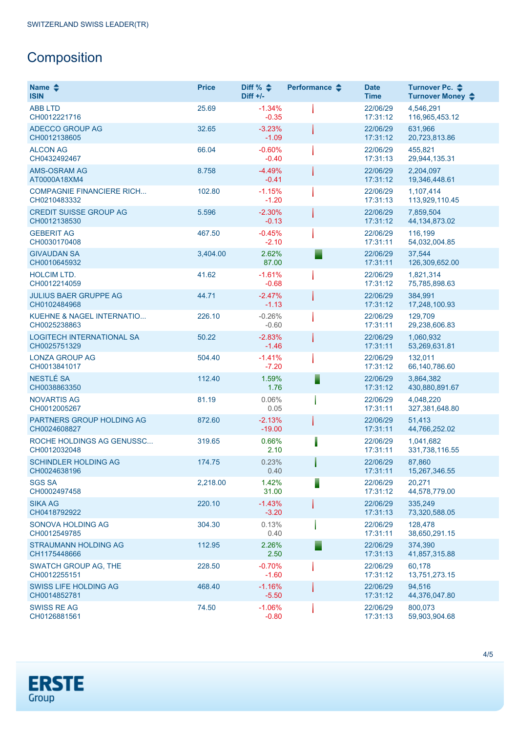# **Composition**

| Name $\triangle$<br><b>ISIN</b>                  | <b>Price</b> | Diff % $\triangleq$<br>$Diff +/-$ | Performance $\clubsuit$ | <b>Date</b><br><b>Time</b> | Turnover Pc. ♦<br>Turnover Money ♦ |
|--------------------------------------------------|--------------|-----------------------------------|-------------------------|----------------------------|------------------------------------|
| <b>ABB LTD</b><br>CH0012221716                   | 25.69        | $-1.34%$<br>$-0.35$               |                         | 22/06/29<br>17:31:12       | 4,546,291<br>116,965,453.12        |
| ADECCO GROUP AG<br>CH0012138605                  | 32.65        | $-3.23%$<br>$-1.09$               |                         | 22/06/29<br>17:31:12       | 631,966<br>20,723,813.86           |
| <b>ALCON AG</b><br>CH0432492467                  | 66.04        | $-0.60%$<br>$-0.40$               |                         | 22/06/29<br>17:31:13       | 455,821<br>29,944,135.31           |
| <b>AMS-OSRAM AG</b><br>AT0000A18XM4              | 8.758        | $-4.49%$<br>$-0.41$               |                         | 22/06/29<br>17:31:12       | 2.204.097<br>19,346,448.61         |
| <b>COMPAGNIE FINANCIERE RICH</b><br>CH0210483332 | 102.80       | $-1.15%$<br>$-1.20$               |                         | 22/06/29<br>17:31:13       | 1,107,414<br>113,929,110.45        |
| <b>CREDIT SUISSE GROUP AG</b><br>CH0012138530    | 5.596        | $-2.30%$<br>$-0.13$               |                         | 22/06/29<br>17:31:12       | 7,859,504<br>44, 134, 873.02       |
| <b>GEBERIT AG</b><br>CH0030170408                | 467.50       | $-0.45%$<br>$-2.10$               |                         | 22/06/29<br>17:31:11       | 116,199<br>54,032,004.85           |
| <b>GIVAUDAN SA</b><br>CH0010645932               | 3,404.00     | 2.62%<br>87.00                    |                         | 22/06/29<br>17:31:11       | 37,544<br>126,309,652.00           |
| <b>HOLCIM LTD.</b><br>CH0012214059               | 41.62        | $-1.61%$<br>$-0.68$               |                         | 22/06/29<br>17:31:12       | 1,821,314<br>75,785,898.63         |
| <b>JULIUS BAER GRUPPE AG</b><br>CH0102484968     | 44.71        | $-2.47%$<br>$-1.13$               |                         | 22/06/29<br>17:31:12       | 384.991<br>17,248,100.93           |
| KUEHNE & NAGEL INTERNATIO<br>CH0025238863        | 226.10       | $-0.26%$<br>$-0.60$               |                         | 22/06/29<br>17:31:11       | 129.709<br>29,238,606.83           |
| <b>LOGITECH INTERNATIONAL SA</b><br>CH0025751329 | 50.22        | $-2.83%$<br>$-1.46$               |                         | 22/06/29<br>17:31:11       | 1,060,932<br>53,269,631.81         |
| <b>LONZA GROUP AG</b><br>CH0013841017            | 504.40       | $-1.41%$<br>$-7.20$               |                         | 22/06/29<br>17:31:12       | 132,011<br>66,140,786.60           |
| NESTLÉ SA<br>CH0038863350                        | 112.40       | 1.59%<br>1.76                     |                         | 22/06/29<br>17:31:12       | 3,864,382<br>430,880,891.67        |
| <b>NOVARTIS AG</b><br>CH0012005267               | 81.19        | 0.06%<br>0.05                     |                         | 22/06/29<br>17:31:11       | 4,048,220<br>327,381,648.80        |
| PARTNERS GROUP HOLDING AG<br>CH0024608827        | 872.60       | $-2.13%$<br>$-19.00$              |                         | 22/06/29<br>17:31:11       | 51,413<br>44,766,252.02            |
| ROCHE HOLDINGS AG GENUSSC<br>CH0012032048        | 319.65       | 0.66%<br>2.10                     |                         | 22/06/29<br>17:31:11       | 1,041,682<br>331,738,116.55        |
| <b>SCHINDLER HOLDING AG</b><br>CH0024638196      | 174.75       | 0.23%<br>0.40                     |                         | 22/06/29<br>17:31:11       | 87,860<br>15,267,346.55            |
| <b>SGS SA</b><br>CH0002497458                    | 2,218.00     | 1.42%<br>31.00                    |                         | 22/06/29<br>17:31:12       | 20,271<br>44,578,779.00            |
| <b>SIKA AG</b><br>CH0418792922                   | 220.10       | $-1.43%$<br>$-3.20$               |                         | 22/06/29<br>17:31:13       | 335,249<br>73,320,588.05           |
| SONOVA HOLDING AG<br>CH0012549785                | 304.30       | 0.13%<br>0.40                     |                         | 22/06/29<br>17:31:11       | 128,478<br>38,650,291.15           |
| STRAUMANN HOLDING AG<br>CH1175448666             | 112.95       | 2.26%<br>2.50                     |                         | 22/06/29<br>17:31:13       | 374,390<br>41,857,315.88           |
| <b>SWATCH GROUP AG, THE</b><br>CH0012255151      | 228.50       | $-0.70%$<br>$-1.60$               |                         | 22/06/29<br>17:31:12       | 60.178<br>13,751,273.15            |
| <b>SWISS LIFE HOLDING AG</b><br>CH0014852781     | 468.40       | $-1.16%$<br>$-5.50$               |                         | 22/06/29<br>17:31:12       | 94,516<br>44,376,047.80            |
| <b>SWISS RE AG</b><br>CH0126881561               | 74.50        | $-1.06%$<br>$-0.80$               |                         | 22/06/29<br>17:31:13       | 800,073<br>59,903,904.68           |